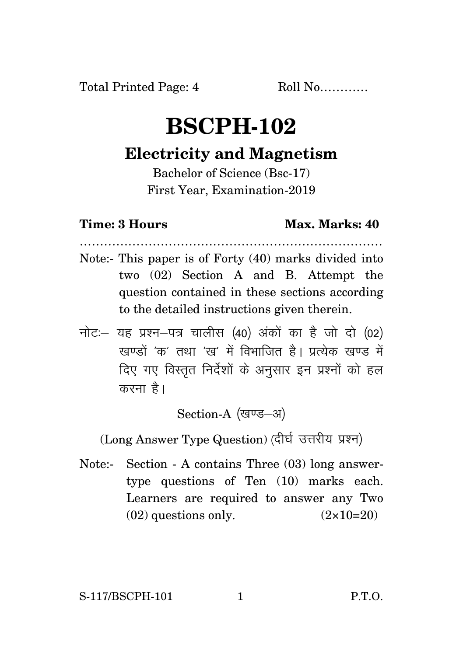## **BSCPH-102**

## **Electricity and Magnetism**

Bachelor of Science (Bsc-17) First Year, Examination-2019

## **Time: 3 Hours Max. Marks: 40**

…………………………………………………………………

- Note:- This paper is of Forty (40) marks divided into two (02) Section A and B. Attempt the question contained in these sections according to the detailed instructions given therein.
- $\vec{\eta}$ नोटः– यह प्रश्न–पत्र चालीस (40) अंकों का है जो दो (02)  $\vec{k}$ रवण्डों 'क' तथा 'रव' में विभाजित है। पत्येक रवण्ड में दिए गए विस्तृत निर्देशों के अनुसार इन प्रश्नों को हल करना है।

Section-A (खण्ड-अ)

(Long Answer Type Question) (दीर्घ उत्तरीय प्रश्न)

Note:- Section - A contains Three (03) long answertype questions of Ten (10) marks each. Learners are required to answer any Two  $(02)$  questions only.  $(2 \times 10=20)$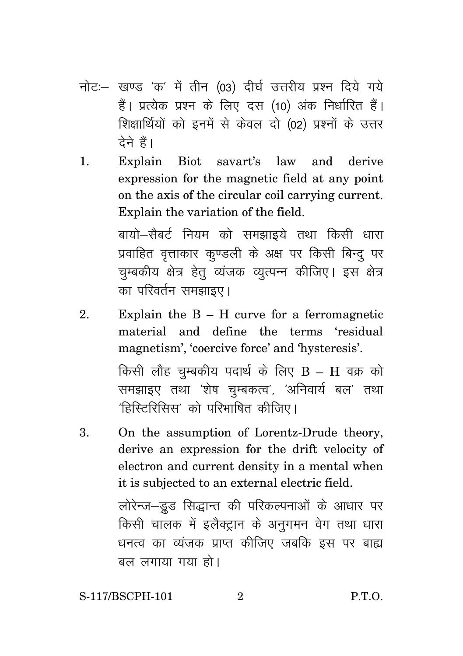- नोट:- खण्ड 'क' में तीन (03) दीर्घ उत्तरीय प्रश्न दिये गये हैं। प्रत्येक प्रश्न के लिए दस (10) अंक निर्धारित हैं। शिक्षार्थियों को इनमें से केवल दो (02) प्रश्नों के उत्तर टेने हैं।
- Explain Biot savart's law and  $\mathbf{1}$ . derive expression for the magnetic field at any point on the axis of the circular coil carrying current. Explain the variation of the field.

बायो—सैबर्ट नियम को समझाइये तथा किसी धारा प्रवाहित वत्ताकार कण्डली के अक्ष पर किसी बिन्द पर चम्बकीय क्षेत्र हेतु व्यंजक व्युत्पन्न कीजिए। इस क्षेत्र का परिवर्तन समझाइए।

- Explain the  $B H$  curve for a ferromagnetic  $2^{1}$ material and define the terms 'residual magnetism', 'coercive force' and 'hysteresis'. किसी लौह चम्बकीय पदार्थ के लिए  $B - H$  वक्र को समझाइए तथा 'शेष चम्बकत्व', 'अनिवार्य बल' तथा 'हिस्टिरिसिस' को परिभाषित कीजिए।
- On the assumption of Lorentz-Drude theory,  $\mathbf{3}$ . derive an expression for the drift velocity of electron and current density in a mental when it is subjected to an external electric field.

लोरेन्ज-डूड सिद्धान्त की परिकल्पनाओं के आधार पर किसी चालक में इलैक्ट्रान के अनुगमन वेग तथा धारा धनत्व का व्यंजक प्राप्त कीजिए जबकि इस पर बाह्य बल लगाया गया हो।

 $\overline{2}$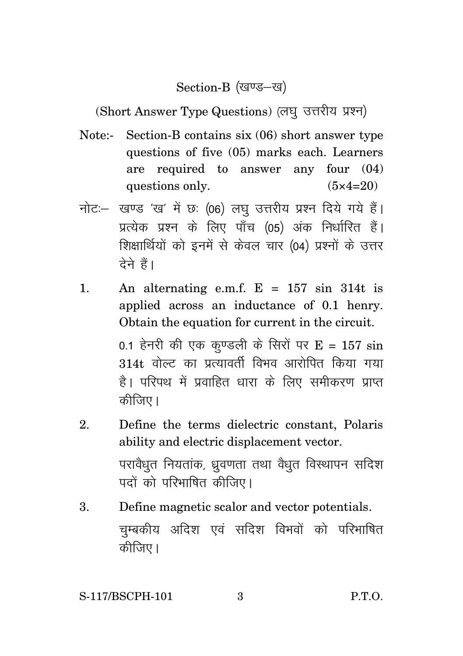Section-B (खण्ड-ख)

(Short Answer Type Questions) (लघु उत्तरीय प्रश्न)

- Note:- Section-B contains six (06) short answer type questions of five (05) marks each. Learners are required to answer any four (04) questions only.  $(5 \times 4=20)$
- नोट: खण्ड 'ख' में छः (06) लघु उत्तरीय प्रश्न दिये गये हैं। प्रत्येक प्रश्न के लिए पाँच (05) अंक निर्धारित हैं। शिक्षार्थियों को इनमें से केवल चार (04) प्रश्नों के उत्तर देने हैं।
- 1. An alternating e.m.f.  $E = 157 \sin 314t$  is applied across an inductance of 0.1 henry. Obtain the equation for current in the circuit.

0.1 हेनरी की एक कुण्डली के सिरों पर E = 157  $\sin$ 314t वोल्ट का प्रत्यावर्ती विभव आरोपित किया गया है। परिपथ में प्रवाहित धारा के लिए समीकरण प्राप्त कीजिए।

- 2. Define the terms dielectric constant, Polaris ability and electric displacement vector. परावैधूत नियतांक, ध्रुवणता तथा वैधूत विस्थापन सदिश पदों को परिभाषित कीजिए।
- 3. Define magnetic scalor and vector potentials. चुम्बकीय अदिश एवं सदिश विभवों को परिभाषित कीजिए।